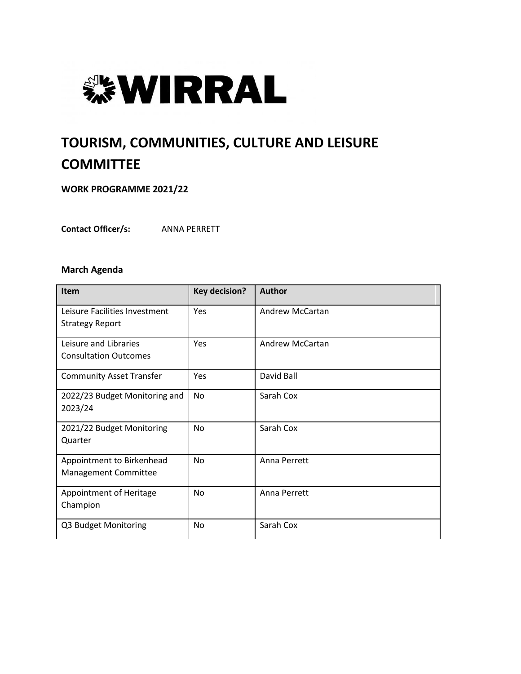

# **TOURISM, COMMUNITIES, CULTURE AND LEISURE COMMITTEE**

**WORK PROGRAMME 2021/22**

**Contact Officer/s:** ANNA PERRETT

#### **March Agenda**

| <b>Item</b>                     | <b>Key decision?</b> | <b>Author</b>          |
|---------------------------------|----------------------|------------------------|
| Leisure Facilities Investment   | Yes                  | <b>Andrew McCartan</b> |
| <b>Strategy Report</b>          |                      |                        |
| Leisure and Libraries           | Yes                  | <b>Andrew McCartan</b> |
| <b>Consultation Outcomes</b>    |                      |                        |
| <b>Community Asset Transfer</b> | Yes                  | David Ball             |
| 2022/23 Budget Monitoring and   | No                   | Sarah Cox              |
| 2023/24                         |                      |                        |
| 2021/22 Budget Monitoring       | No                   | Sarah Cox              |
| Quarter                         |                      |                        |
| Appointment to Birkenhead       | No                   | Anna Perrett           |
| Management Committee            |                      |                        |
| Appointment of Heritage         | <b>No</b>            | Anna Perrett           |
| Champion                        |                      |                        |
| Q3 Budget Monitoring            | No                   | Sarah Cox              |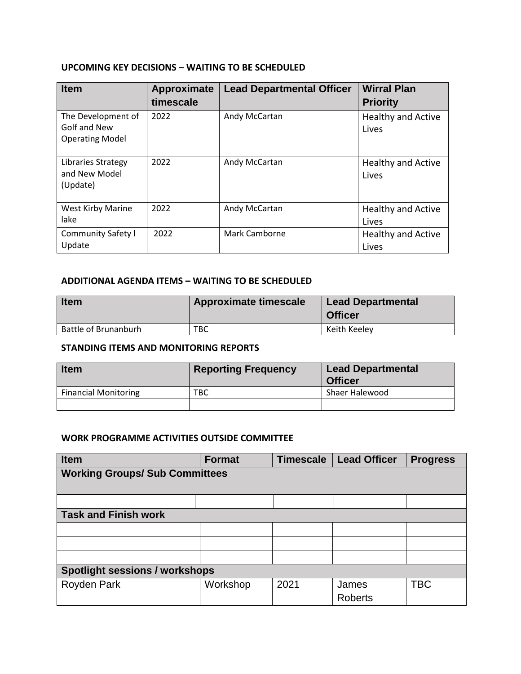## **UPCOMING KEY DECISIONS – WAITING TO BE SCHEDULED**

| <b>Item</b>                                                  | Approximate<br>timescale | <b>Lead Departmental Officer</b> | <b>Wirral Plan</b><br><b>Priority</b> |
|--------------------------------------------------------------|--------------------------|----------------------------------|---------------------------------------|
| The Development of<br>Golf and New<br><b>Operating Model</b> | 2022                     | Andy McCartan                    | <b>Healthy and Active</b><br>Lives    |
| Libraries Strategy<br>and New Model<br>(Update)              | 2022                     | Andy McCartan                    | <b>Healthy and Active</b><br>Lives    |
| West Kirby Marine<br>lake                                    | 2022                     | Andy McCartan                    | <b>Healthy and Active</b><br>Lives    |
| Community Safety I<br>Update                                 | 2022                     | Mark Camborne                    | <b>Healthy and Active</b><br>Lives    |

### **ADDITIONAL AGENDA ITEMS – WAITING TO BE SCHEDULED**

| <b>Item</b>          | <b>Approximate timescale</b> | <b>Lead Departmental</b><br><b>Officer</b> |
|----------------------|------------------------------|--------------------------------------------|
| Battle of Brunanburh | твс                          | Keith Keeley                               |

## **STANDING ITEMS AND MONITORING REPORTS**

| <b>Item</b>                 | <b>Reporting Frequency</b> | <b>Lead Departmental</b><br><b>Officer</b> |
|-----------------------------|----------------------------|--------------------------------------------|
| <b>Financial Monitoring</b> | TBC                        | Shaer Halewood                             |
|                             |                            |                                            |

### **WORK PROGRAMME ACTIVITIES OUTSIDE COMMITTEE**

| <b>Item</b>                           | <b>Format</b> | <b>Timescale</b> | <b>Lead Officer</b> | <b>Progress</b> |
|---------------------------------------|---------------|------------------|---------------------|-----------------|
| <b>Working Groups/ Sub Committees</b> |               |                  |                     |                 |
|                                       |               |                  |                     |                 |
|                                       |               |                  |                     |                 |
| <b>Task and Finish work</b>           |               |                  |                     |                 |
|                                       |               |                  |                     |                 |
|                                       |               |                  |                     |                 |
|                                       |               |                  |                     |                 |
| <b>Spotlight sessions / workshops</b> |               |                  |                     |                 |
| <b>Royden Park</b>                    | Workshop      | 2021             | James               | <b>TBC</b>      |
|                                       |               |                  | <b>Roberts</b>      |                 |